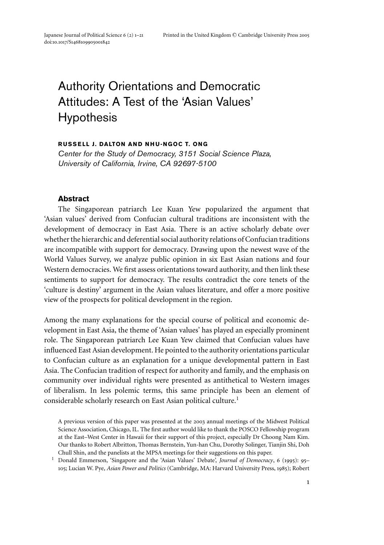# Authority Orientations and Democratic Attitudes: A Test of the 'Asian Values' **Hypothesis**

### **RUSSELL J. DALTON AND NHU-NGOC T. ONG**

*Center for the Study of Democracy, 3151 Social Science Plaza, University of California, Irvine, CA 92697-5100*

# **Abstract**

The Singaporean patriarch Lee Kuan Yew popularized the argument that 'Asian values' derived from Confucian cultural traditions are inconsistent with the development of democracy in East Asia. There is an active scholarly debate over whether the hierarchic and deferential social authority relations of Confucian traditions are incompatible with support for democracy. Drawing upon the newest wave of the World Values Survey, we analyze public opinion in six East Asian nations and four Western democracies. We first assess orientations toward authority, and then link these sentiments to support for democracy. The results contradict the core tenets of the 'culture is destiny' argument in the Asian values literature, and offer a more positive view of the prospects for political development in the region.

Among the many explanations for the special course of political and economic development in East Asia, the theme of 'Asian values' has played an especially prominent role. The Singaporean patriarch Lee Kuan Yew claimed that Confucian values have influenced East Asian development. He pointed to the authority orientations particular to Confucian culture as an explanation for a unique developmental pattern in East Asia. The Confucian tradition of respect for authority and family, and the emphasis on community over individual rights were presented as antithetical to Western images of liberalism. In less polemic terms, this same principle has been an element of considerable scholarly research on East Asian political culture.<sup>1</sup>

A previous version of this paper was presented at the 2003 annual meetings of the Midwest Political Science Association, Chicago, IL. The first author would like to thank the POSCO Fellowship program at the East–West Center in Hawaii for their support of this project, especially Dr Choong Nam Kim. Our thanks to Robert Albritton, Thomas Bernstein, Yun-han Chu, Dorothy Solinger, Tianjin Shi, Doh Chull Shin, and the panelists at the MPSA meetings for their suggestions on this paper.

<sup>1</sup> Donald Emmerson, 'Singapore and the 'Asian Values' Debate', *Journal of Democracy*, 6 (1995): 95– 105; Lucian W. Pye, *Asian Power and Politics* (Cambridge, MA: Harvard University Press, 1985); Robert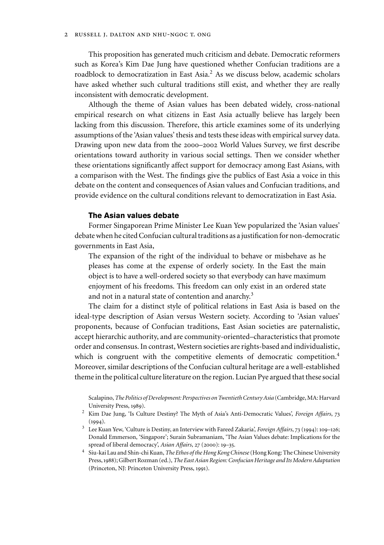This proposition has generated much criticism and debate. Democratic reformers such as Korea's Kim Dae Jung have questioned whether Confucian traditions are a roadblock to democratization in East Asia.<sup>2</sup> As we discuss below, academic scholars have asked whether such cultural traditions still exist, and whether they are really inconsistent with democratic development.

Although the theme of Asian values has been debated widely, cross-national empirical research on what citizens in East Asia actually believe has largely been lacking from this discussion. Therefore, this article examines some of its underlying assumptions of the 'Asian values' thesis and tests these ideas with empirical survey data. Drawing upon new data from the 2000–2002 World Values Survey, we first describe orientations toward authority in various social settings. Then we consider whether these orientations significantly affect support for democracy among East Asians, with a comparison with the West. The findings give the publics of East Asia a voice in this debate on the content and consequences of Asian values and Confucian traditions, and provide evidence on the cultural conditions relevant to democratization in East Asia.

#### **The Asian values debate**

Former Singaporean Prime Minister Lee Kuan Yew popularized the 'Asian values' debate when he cited Confucian cultural traditions as a justification for non-democratic governments in East Asia,

The expansion of the right of the individual to behave or misbehave as he pleases has come at the expense of orderly society. In the East the main object is to have a well-ordered society so that everybody can have maximum enjoyment of his freedoms. This freedom can only exist in an ordered state and not in a natural state of contention and anarchy.<sup>3</sup>

The claim for a distinct style of political relations in East Asia is based on the ideal-type description of Asian versus Western society. According to 'Asian values' proponents, because of Confucian traditions, East Asian societies are paternalistic, accept hierarchic authority, and are community-oriented–characteristics that promote order and consensus. In contrast, Western societies are rights-based and individualistic, which is congruent with the competitive elements of democratic competition.<sup>4</sup> Moreover, similar descriptions of the Confucian cultural heritage are a well-established theme in the political culture literature on the region. Lucian Pye argued that these social

Scalapino,*The Politics of Development: Perspectives on Twentieth Century Asia* (Cambridge, MA: Harvard University Press, 1989).

<sup>4</sup> Siu-kai Lau and Shin-chi Kuan,*The Ethos of the Hong Kong Chinese*(Hong Kong: The Chinese University Press,1988); Gilbert Rozman (ed.),*The East Asian Region: Confucian Heritage and Its Modern Adaptation* (Princeton, NJ: Princeton University Press, 1991).

<sup>2</sup> Kim Dae Jung, 'Is Culture Destiny? The Myth of Asia's Anti-Democratic Values', *Foreign Affairs*, 73  $(1994).$ 

<sup>3</sup> Lee Kuan Yew, 'Culture is Destiny, an Interview with Fareed Zakaria', *Foreign Affairs*, 73(1994): 109–126; Donald Emmerson, 'Singapore'; Surain Subramaniam, 'The Asian Values debate: Implications for the spread of liberal democracy', *Asian Affairs*, 27 (2000): 19–35.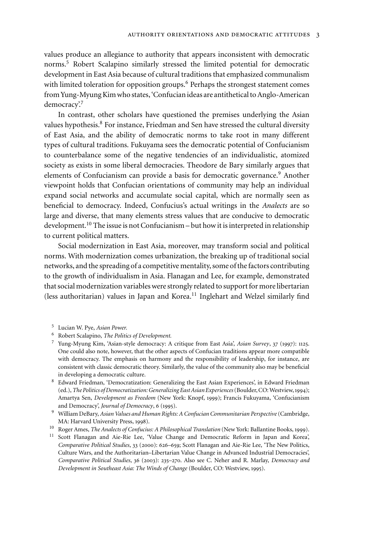values produce an allegiance to authority that appears inconsistent with democratic norms.<sup>5</sup> Robert Scalapino similarly stressed the limited potential for democratic development in East Asia because of cultural traditions that emphasized communalism with limited toleration for opposition groups.<sup>6</sup> Perhaps the strongest statement comes from Yung-Myung Kim who states, 'Confucian ideas are antithetical to Anglo-American democracy?<sup>7</sup>

In contrast, other scholars have questioned the premises underlying the Asian values hypothesis.<sup>8</sup> For instance, Friedman and Sen have stressed the cultural diversity of East Asia, and the ability of democratic norms to take root in many different types of cultural traditions. Fukuyama sees the democratic potential of Confucianism to counterbalance some of the negative tendencies of an individualistic, atomized society as exists in some liberal democracies. Theodore de Bary similarly argues that elements of Confucianism can provide a basis for democratic governance.<sup>9</sup> Another viewpoint holds that Confucian orientations of community may help an individual expand social networks and accumulate social capital, which are normally seen as beneficial to democracy. Indeed, Confucius's actual writings in the *Analects* are so large and diverse, that many elements stress values that are conducive to democratic development.10 The issue is not Confucianism – but how it is interpreted in relationship to current political matters.

Social modernization in East Asia, moreover, may transform social and political norms. With modernization comes urbanization, the breaking up of traditional social networks, and the spreading of a competitive mentality, some of the factors contributing to the growth of individualism in Asia. Flanagan and Lee, for example, demonstrated that social modernization variables were strongly related to support for more libertarian (less authoritarian) values in Japan and Korea.<sup>11</sup> Inglehart and Welzel similarly find

- <sup>5</sup> Lucian W. Pye, *Asian Power.*
- <sup>6</sup> Robert Scalapino, *The Politics of Development.*
- <sup>7</sup> Yung-Myung Kim, 'Asian-style democracy: A critique from East Asia', *Asian Survey*, 37 (1997): 1125. One could also note, however, that the other aspects of Confucian traditions appear more compatible with democracy. The emphasis on harmony and the responsibility of leadership, for instance, are consistent with classic democratic theory. Similarly, the value of the community also may be beneficial in developing a democratic culture.
- <sup>8</sup> Edward Friedman, 'Democratization: Generalizing the East Asian Experiences', in Edward Friedman (ed.),*The Politics of Democratization: Generalizing East Asian Experiences*(Boulder, CO: Westview,1994); Amartya Sen, *Development as Freedom* (New York: Knopf, 1999); Francis Fukuyama, 'Confucianism and Democracy', *Journal of Democracy*, 6 (1995).
- <sup>9</sup> William DeBary, *Asian Values and Human Rights: A Confucian Communitarian Perspective* (Cambridge, MA: Harvard University Press, 1998).
- <sup>10</sup> Roger Ames, *The Analects of Confucius: A Philosophical Translation* (New York: Ballantine Books, 1999).
- <sup>11</sup> Scott Flanagan and Aie-Rie Lee, 'Value Change and Democratic Reform in Japan and Korea', *Comparative Political Studies*, 33 (2000): 626–659; Scott Flanagan and Aie-Rie Lee, 'The New Politics, Culture Wars, and the Authoritarian–Libertarian Value Change in Advanced Industrial Democracies', *Comparative Political Studies*, 36 (2003): 235–270. Also see C. Neher and R. Marlay, *Democracy and Development in Southeast Asia: The Winds of Change* (Boulder, CO: Westview, 1995).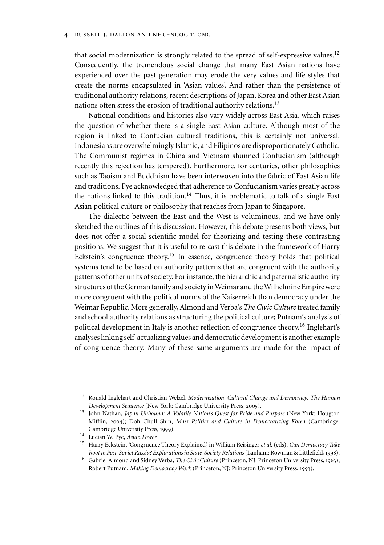#### 4 russell j. dalton and nhu-ngoc t. ong

that social modernization is strongly related to the spread of self-expressive values.<sup>12</sup> Consequently, the tremendous social change that many East Asian nations have experienced over the past generation may erode the very values and life styles that create the norms encapsulated in 'Asian values'. And rather than the persistence of traditional authority relations, recent descriptions of Japan, Korea and other East Asian nations often stress the erosion of traditional authority relations.<sup>13</sup>

National conditions and histories also vary widely across East Asia, which raises the question of whether there is a single East Asian culture. Although most of the region is linked to Confucian cultural traditions, this is certainly not universal. Indonesians are overwhelmingly Islamic, and Filipinos are disproportionately Catholic. The Communist regimes in China and Vietnam shunned Confucianism (although recently this rejection has tempered). Furthermore, for centuries, other philosophies such as Taoism and Buddhism have been interwoven into the fabric of East Asian life and traditions. Pye acknowledged that adherence to Confucianism varies greatly across the nations linked to this tradition.<sup>14</sup> Thus, it is problematic to talk of a single East Asian political culture or philosophy that reaches from Japan to Singapore.

The dialectic between the East and the West is voluminous, and we have only sketched the outlines of this discussion. However, this debate presents both views, but does not offer a social scientific model for theorizing and testing these contrasting positions. We suggest that it is useful to re-cast this debate in the framework of Harry Eckstein's congruence theory.<sup>15</sup> In essence, congruence theory holds that political systems tend to be based on authority patterns that are congruent with the authority patterns of other units of society. For instance, the hierarchic and paternalistic authority structures of the German family and society in Weimar and the Wilhelmine Empire were more congruent with the political norms of the Kaiserreich than democracy under the Weimar Republic. More generally, Almond and Verba's *The Civic Culture* treated family and school authority relations as structuring the political culture; Putnam's analysis of political development in Italy is another reflection of congruence theory.16 Inglehart's analyses linking self-actualizing values and democratic development is another example of congruence theory. Many of these same arguments are made for the impact of

<sup>12</sup> Ronald Inglehart and Christian Welzel, *Modernization, Cultural Change and Democracy: The Human Development Sequence* (New York: Cambridge University Press, 2005).

<sup>13</sup> John Nathan, *Japan Unbound: A Volatile Nation's Quest for Pride and Purpose* (New York: Hougton Mifflin, 2004); Doh Chull Shin, *Mass Politics and Culture in Democratizing Korea* (Cambridge: Cambridge University Press, 1999).

<sup>14</sup> Lucian W. Pye, *Asian Power.*

<sup>15</sup> Harry Eckstein, 'Congruence Theory Explained', in William Reisinger *et al.* (eds), *Can Democracy Take Root in Post-Soviet Russia? Explorations in State-Society Relations* (Lanham: Rowman & Littlefield,1998).

<sup>&</sup>lt;sup>16</sup> Gabriel Almond and Sidney Verba, *The Civic Culture* (Princeton, NJ: Princeton University Press, 1963); Robert Putnam, *Making Democracy Work* (Princeton, NJ: Princeton University Press, 1993).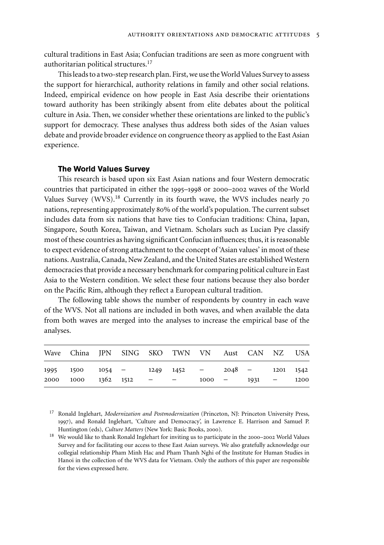cultural traditions in East Asia; Confucian traditions are seen as more congruent with authoritarian political structures.17

This leads to a two-step research plan. First, we use the World Values Survey to assess the support for hierarchical, authority relations in family and other social relations. Indeed, empirical evidence on how people in East Asia describe their orientations toward authority has been strikingly absent from elite debates about the political culture in Asia. Then, we consider whether these orientations are linked to the public's support for democracy. These analyses thus address both sides of the Asian values debate and provide broader evidence on congruence theory as applied to the East Asian experience.

#### **The World Values Survey**

This research is based upon six East Asian nations and four Western democratic countries that participated in either the 1995–1998 or 2000–2002 waves of the World Values Survey (WVS).<sup>18</sup> Currently in its fourth wave, the WVS includes nearly 70 nations, representing approximately 80% of the world's population. The current subset includes data from six nations that have ties to Confucian traditions: China, Japan, Singapore, South Korea, Taiwan, and Vietnam. Scholars such as Lucian Pye classify most of these countries as having significant Confucian influences; thus, it is reasonable to expect evidence of strong attachment to the concept of 'Asian values' in most of these nations. Australia, Canada, New Zealand, and the United States are established Western democracies that provide a necessary benchmark for comparing political culture in East Asia to the Western condition. We select these four nations because they also border on the Pacific Rim, although they reflect a European cultural tradition.

The following table shows the number of respondents by country in each wave of the WVS. Not all nations are included in both waves, and when available the data from both waves are merged into the analyses to increase the empirical base of the analyses.

| Wave China JPN SING SKO TWN VN Aust CAN NZ USA                |  |  |  |  |  |
|---------------------------------------------------------------|--|--|--|--|--|
| $1995$ $1500$ $1054$ - $1249$ $1452$ - $2048$ - $1201$ $1542$ |  |  |  |  |  |
| $2000$ $1000$ $1362$ $1512$ - - $1000$ - $1931$ - $1200$      |  |  |  |  |  |

<sup>17</sup> Ronald Inglehart, *Modernization and Postmodernization* (Princeton, NJ: Princeton University Press, 1997), and Ronald Inglehart, 'Culture and Democracy', in Lawrence E. Harrison and Samuel P. Huntington (eds), *Culture Matters* (New York: Basic Books, 2000).

<sup>18</sup> We would like to thank Ronald Inglehart for inviting us to participate in the 2000–2002 World Values Survey and for facilitating our access to these East Asian surveys. We also gratefully acknowledge our collegial relationship Pham Minh Hac and Pham Thanh Nghi of the Institute for Human Studies in Hanoi in the collection of the WVS data for Vietnam. Only the authors of this paper are responsible for the views expressed here.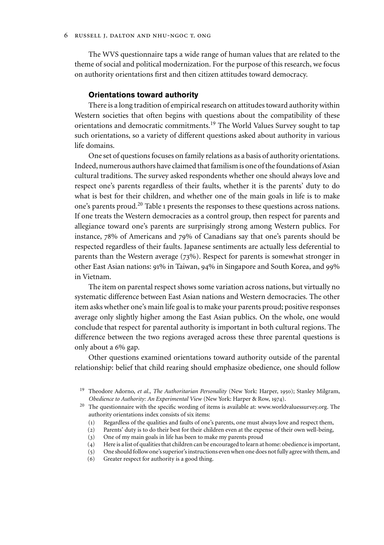The WVS questionnaire taps a wide range of human values that are related to the theme of social and political modernization. For the purpose of this research, we focus on authority orientations first and then citizen attitudes toward democracy.

#### **Orientations toward authority**

There is a long tradition of empirical research on attitudes toward authority within Western societies that often begins with questions about the compatibility of these orientations and democratic commitments.<sup>19</sup> The World Values Survey sought to tap such orientations, so a variety of different questions asked about authority in various life domains.

One set of questions focuses on family relations as a basis of authority orientations. Indeed, numerous authors have claimed that familism is one of the foundations of Asian cultural traditions. The survey asked respondents whether one should always love and respect one's parents regardless of their faults, whether it is the parents' duty to do what is best for their children, and whether one of the main goals in life is to make one's parents proud.20 Table 1 presents the responses to these questions across nations. If one treats the Western democracies as a control group, then respect for parents and allegiance toward one's parents are surprisingly strong among Western publics. For instance, 78% of Americans and 79% of Canadians say that one's parents should be respected regardless of their faults. Japanese sentiments are actually less deferential to parents than the Western average  $(73%)$ . Respect for parents is somewhat stronger in other East Asian nations: 91% in Taiwan, 94% in Singapore and South Korea, and 99% in Vietnam.

The item on parental respect shows some variation across nations, but virtually no systematic difference between East Asian nations and Western democracies. The other item asks whether one's main life goal is to make your parents proud; positive responses average only slightly higher among the East Asian publics. On the whole, one would conclude that respect for parental authority is important in both cultural regions. The difference between the two regions averaged across these three parental questions is only about a 6% gap.

Other questions examined orientations toward authority outside of the parental relationship: belief that child rearing should emphasize obedience, one should follow

(1) Regardless of the qualities and faults of one's parents, one must always love and respect them,

<sup>&</sup>lt;sup>19</sup> Theodore Adorno, *et al., The Authoritarian Personality* (New York: Harper, 1950); Stanley Milgram, *Obedience to Authority: An Experimental View* (New York: Harper & Row, 1974).

<sup>&</sup>lt;sup>20</sup> The questionnaire with the specific wording of items is available at: www.worldvaluessurvey.org. The authority orientations index consists of six items:

<sup>(</sup>2) Parents' duty is to do their best for their children even at the expense of their own well-being,

<sup>(</sup>3) One of my main goals in life has been to make my parents proud

<sup>(</sup>4) Here is a list of qualities that children can be encouraged to learn at home: obedience is important,

<sup>(</sup>5) One should follow one's superior's instructions even when one does not fully agree with them, and

<sup>(</sup>6) Greater respect for authority is a good thing.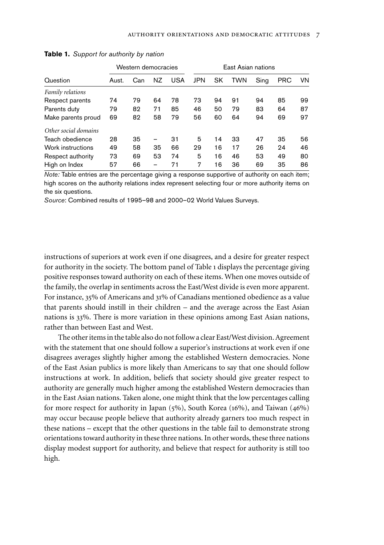|                         |       | Western democracies |                          | East Asian nations |            |    |     |      |            |    |
|-------------------------|-------|---------------------|--------------------------|--------------------|------------|----|-----|------|------------|----|
| Question                | Aust. | Can                 | NZ.                      | <b>USA</b>         | <b>JPN</b> | SK | TWN | Sing | <b>PRC</b> | VN |
| <b>Family relations</b> |       |                     |                          |                    |            |    |     |      |            |    |
| Respect parents         | 74    | 79                  | 64                       | 78                 | 73         | 94 | 91  | 94   | 85         | 99 |
| Parents duty            | 79    | 82                  | 71                       | 85                 | 46         | 50 | 79  | 83   | 64         | 87 |
| Make parents proud      | 69    | 82                  | 58                       | 79                 | 56         | 60 | 64  | 94   | 69         | 97 |
| Other social domains    |       |                     |                          |                    |            |    |     |      |            |    |
| Teach obedience         | 28    | 35                  | $\overline{\phantom{0}}$ | 31                 | 5          | 14 | 33  | 47   | 35         | 56 |
| Work instructions       | 49    | 58                  | 35                       | 66                 | 29         | 16 | 17  | 26   | 24         | 46 |
| Respect authority       | 73    | 69                  | 53                       | 74                 | 5          | 16 | 46  | 53   | 49         | 80 |
| High on Index           | 57    | 66                  |                          | 71                 | 7          | 16 | 36  | 69   | 35         | 86 |

**Table 1.** *Support for authority by nation*

*Note:* Table entries are the percentage giving a response supportive of authority on each item; high scores on the authority relations index represent selecting four or more authority items on the six questions.

*Source*: Combined results of 1995–98 and 2000–02 World Values Surveys.

instructions of superiors at work even if one disagrees, and a desire for greater respect for authority in the society. The bottom panel of Table 1 displays the percentage giving positive responses toward authority on each of these items. When one moves outside of the family, the overlap in sentiments across the East/West divide is even more apparent. For instance, 35% of Americans and 31% of Canadians mentioned obedience as a value that parents should instill in their children – and the average across the East Asian nations is 33%. There is more variation in these opinions among East Asian nations, rather than between East and West.

The other items in the table also do not follow a clear East/West division. Agreement with the statement that one should follow a superior's instructions at work even if one disagrees averages slightly higher among the established Western democracies. None of the East Asian publics is more likely than Americans to say that one should follow instructions at work. In addition, beliefs that society should give greater respect to authority are generally much higher among the established Western democracies than in the East Asian nations. Taken alone, one might think that the low percentages calling for more respect for authority in Japan (5%), South Korea (16%), and Taiwan (46%) may occur because people believe that authority already garners too much respect in these nations – except that the other questions in the table fail to demonstrate strong orientations toward authority in these three nations. In other words, these three nations display modest support for authority, and believe that respect for authority is still too high.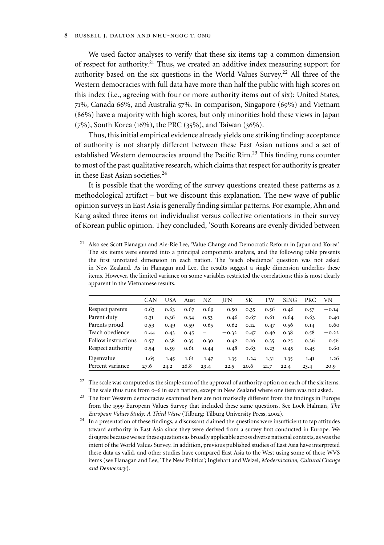We used factor analyses to verify that these six items tap a common dimension of respect for authority.<sup>21</sup> Thus, we created an additive index measuring support for authority based on the six questions in the World Values Survey.22 All three of the Western democracies with full data have more than half the public with high scores on this index (i.e., agreeing with four or more authority items out of six): United States, 71%, Canada 66%, and Australia 57%. In comparison, Singapore (69%) and Vietnam (86%) have a majority with high scores, but only minorities hold these views in Japan (7%), South Korea (16%), the PRC (35%), and Taiwan (36%).

Thus, this initial empirical evidence already yields one striking finding: acceptance of authority is not sharply different between these East Asian nations and a set of established Western democracies around the Pacific Rim.<sup>23</sup> This finding runs counter to most of the past qualitative research, which claims that respect for authority is greater in these East Asian societies.<sup>24</sup>

It is possible that the wording of the survey questions created these patterns as a methodological artifact – but we discount this explanation. The new wave of public opinion surveys in East Asia is generally finding similar patterns. For example, Ahn and Kang asked three items on individualist versus collective orientations in their survey of Korean public opinion. They concluded, 'South Koreans are evenly divided between

<sup>21</sup> Also see Scott Flanagan and Aie-Rie Lee, 'Value Change and Democratic Reform in Japan and Korea'. The six items were entered into a principal components analysis, and the following table presents the first unrotated dimension in each nation. The 'teach obedience' question was not asked in New Zealand. As in Flanagan and Lee, the results suggest a single dimension underlies these items. However, the limited variance on some variables restricted the correlations; this is most clearly apparent in the Vietnamese results.

|                     | CAN  | USA  | Aust | ΝZ                | IPN     | SК   | TW   | <b>SING</b> | PRC  | VN      |
|---------------------|------|------|------|-------------------|---------|------|------|-------------|------|---------|
| Respect parents     | 0.63 | 0.63 | 0.67 | 0.69              | 0.50    | 0.35 | 0.56 | 0.46        | 0.57 | $-0.14$ |
| Parent duty         | 0.31 | 0.36 | 0.34 | 0.53              | 0.46    | 0.67 | 0.61 | 0.64        | 0.63 | 0.40    |
| Parents proud       | 0.59 | 0.49 | 0.59 | 0.65              | 0.62    | 0.12 | 0.47 | 0.56        | 0.14 | 0.60    |
| Teach obedience     | 0.44 | 0.43 | 0.45 | $\qquad \qquad -$ | $-0.32$ | 0.47 | 0.46 | 0.38        | 0.58 | $-0.22$ |
| Follow instructions | 0.57 | 0.38 | 0.35 | 0.30              | 0.42    | 0.16 | 0.35 | 0.25        | 0.36 | 0.56    |
| Respect authority   | 0.54 | 0.59 | 0.61 | 0.44              | 0.48    | 0.63 | 0.23 | 0.45        | 0.45 | 0.60    |
| Eigenvalue          | 1.65 | 1.45 | 1.61 | 1.47              | 1.35    | 1.24 | 1.31 | 1.35        | 1.41 | 1.26    |
| Percent variance    | 27.6 | 24.2 | 26.8 | 29.4              | 22.5    | 20.6 | 21.7 | 22.4        | 23.4 | 20.9    |

<sup>22</sup> The scale was computed as the simple sum of the approval of authority option on each of the six items. The scale thus runs from 0–6 in each nation, except in New Zealand where one item was not asked.

<sup>23</sup> The four Western democracies examined here are not markedly different from the findings in Europe from the 1999 European Values Survey that included these same questions. See Loek Halman, *The European Values Study: A Third Wave* (Tilburg: Tilburg University Press, 2002).

 $^\mathrm{24}~$  In a presentation of these findings, a discussant claimed the questions were insufficient to tap attitudes toward authority in East Asia since they were derived from a survey first conducted in Europe. We disagree because we see these questions as broadly applicable across diverse national contexts, as was the intent of the World Values Survey. In addition, previous published studies of East Asia have interpreted these data as valid, and other studies have compared East Asia to the West using some of these WVS items (see Flanagan and Lee, 'The New Politics'; Inglehart and Welzel, *Modernization, Cultural Change and Democracy*).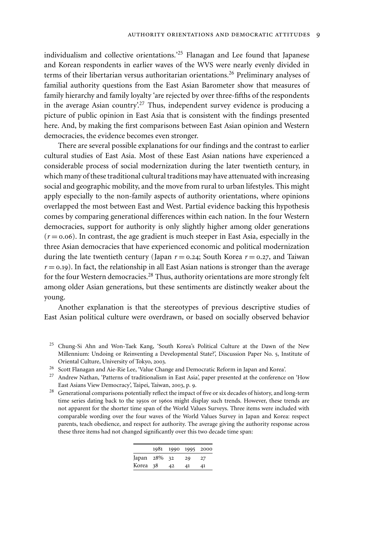individualism and collective orientations.'25 Flanagan and Lee found that Japanese and Korean respondents in earlier waves of the WVS were nearly evenly divided in terms of their libertarian versus authoritarian orientations.<sup>26</sup> Preliminary analyses of familial authority questions from the East Asian Barometer show that measures of family hierarchy and family loyalty 'are rejected by over three-fifths of the respondents in the average Asian country.<sup>27</sup> Thus, independent survey evidence is producing a picture of public opinion in East Asia that is consistent with the findings presented here. And, by making the first comparisons between East Asian opinion and Western democracies, the evidence becomes even stronger.

There are several possible explanations for our findings and the contrast to earlier cultural studies of East Asia. Most of these East Asian nations have experienced a considerable process of social modernization during the later twentieth century, in which many of these traditional cultural traditions may have attenuated with increasing social and geographic mobility, and the move from rural to urban lifestyles. This might apply especially to the non-family aspects of authority orientations, where opinions overlapped the most between East and West. Partial evidence backing this hypothesis comes by comparing generational differences within each nation. In the four Western democracies, support for authority is only slightly higher among older generations  $(r = 0.06)$ . In contrast, the age gradient is much steeper in East Asia, especially in the three Asian democracies that have experienced economic and political modernization during the late twentieth century (Japan  $r = 0.24$ ; South Korea  $r = 0.27$ , and Taiwan  $r = 0.19$ ). In fact, the relationship in all East Asian nations is stronger than the average for the four Western democracies.<sup>28</sup> Thus, authority orientations are more strongly felt among older Asian generations, but these sentiments are distinctly weaker about the young.

Another explanation is that the stereotypes of previous descriptive studies of East Asian political culture were overdrawn, or based on socially observed behavior

- <sup>26</sup> Scott Flanagan and Aie-Rie Lee, 'Value Change and Democratic Reform in Japan and Korea'.
- <sup>27</sup> Andrew Nathan, 'Patterns of traditionalism in East Asia', paper presented at the conference on 'How East Asians View Democracy', Taipei, Taiwan, 2003, p. 9.
- <sup>28</sup> Generational comparisons potentially reflect the impact of five or six decades of history, and long-term time series dating back to the 1950s or 1960s might display such trends. However, these trends are not apparent for the shorter time span of the World Values Surveys. Three items were included with comparable wording over the four waves of the World Values Survey in Japan and Korea: respect parents, teach obedience, and respect for authority. The average giving the authority response across these three items had not changed significantly over this two decade time span:

|              | 1981 1990 1995 2000 |    |    |
|--------------|---------------------|----|----|
| Japan 28% 32 |                     | 29 | 27 |
| Korea 38     | 42                  | 41 | 41 |

<sup>25</sup> Chung-Si Ahn and Won-Taek Kang, 'South Korea's Political Culture at the Dawn of the New Millennium: Undoing or Reinventing a Developmental State?', Discussion Paper No. 5, Institute of Oriental Culture, University of Tokyo, 2003.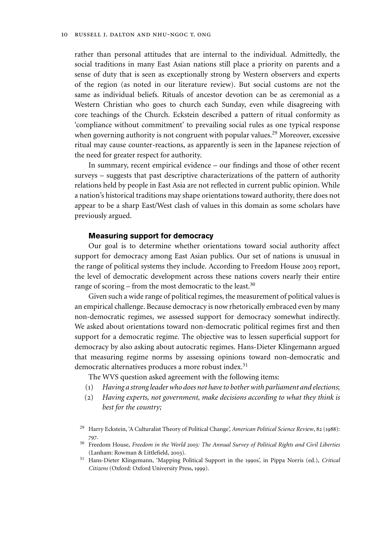rather than personal attitudes that are internal to the individual. Admittedly, the social traditions in many East Asian nations still place a priority on parents and a sense of duty that is seen as exceptionally strong by Western observers and experts of the region (as noted in our literature review). But social customs are not the same as individual beliefs. Rituals of ancestor devotion can be as ceremonial as a Western Christian who goes to church each Sunday, even while disagreeing with core teachings of the Church. Eckstein described a pattern of ritual conformity as 'compliance without commitment' to prevailing social rules as one typical response when governing authority is not congruent with popular values.<sup>29</sup> Moreover, excessive ritual may cause counter-reactions, as apparently is seen in the Japanese rejection of the need for greater respect for authority.

In summary, recent empirical evidence – our findings and those of other recent surveys – suggests that past descriptive characterizations of the pattern of authority relations held by people in East Asia are not reflected in current public opinion. While a nation's historical traditions may shape orientations toward authority, there does not appear to be a sharp East/West clash of values in this domain as some scholars have previously argued.

### **Measuring support for democracy**

Our goal is to determine whether orientations toward social authority affect support for democracy among East Asian publics. Our set of nations is unusual in the range of political systems they include. According to Freedom House 2003 report, the level of democratic development across these nations covers nearly their entire range of scoring – from the most democratic to the least. $30$ 

Given such a wide range of political regimes, the measurement of political values is an empirical challenge. Because democracy is now rhetorically embraced even by many non-democratic regimes, we assessed support for democracy somewhat indirectly. We asked about orientations toward non-democratic political regimes first and then support for a democratic regime. The objective was to lessen superficial support for democracy by also asking about autocratic regimes. Hans-Dieter Klingemann argued that measuring regime norms by assessing opinions toward non-democratic and democratic alternatives produces a more robust index.<sup>31</sup>

The WVS question asked agreement with the following items:

- (1) *Having a strong leader who does not have to bother with parliament and elections*;
- (2) *Having experts, not government, make decisions according to what they think is best for the country;*

<sup>29</sup> Harry Eckstein, 'A Culturalist Theory of Political Change', *American Political Science Review*, 82 (1988): 797.

<sup>30</sup> Freedom House, *Freedom in the World 2003: The Annual Survey of Political Rights and Civil Liberties* (Lanham: Rowman & Littlefield, 2003).

<sup>31</sup> Hans-Dieter Klingemann, 'Mapping Political Support in the 1990s', in Pippa Norris (ed.), *Critical Citizens* (Oxford: Oxford University Press, 1999).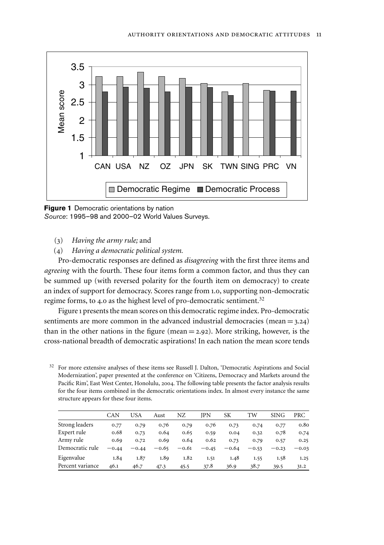

**Figure 1** Democratic orientations by nation *Source*: 1995–98 and 2000–02 World Values Surveys.

- (3) *Having the army rule;* and
- (4) *Having a democratic political system.*

Pro-democratic responses are defined as *disagreeing* with the first three items and *agreeing* with the fourth. These four items form a common factor, and thus they can be summed up (with reversed polarity for the fourth item on democracy) to create an index of support for democracy. Scores range from 1.0, supporting non-democratic regime forms, to 4.0 as the highest level of pro-democratic sentiment.<sup>32</sup>

Figure 1 presents the mean scores on this democratic regime index. Pro-democratic sentiments are more common in the advanced industrial democracies (mean  $=$  3.24) than in the other nations in the figure (mean  $=$  2.92). More striking, however, is the cross-national breadth of democratic aspirations! In each nation the mean score tends

<sup>32</sup> For more extensive analyses of these items see Russell J. Dalton, 'Democratic Aspirations and Social Modernization', paper presented at the conference on 'Citizens, Democracy and Markets around the Pacific Rim', East West Center, Honolulu, 2004. The following table presents the factor analysis results for the four items combined in the democratic orientations index. In almost every instance the same structure appears for these four items.

|                  | CAN     | USA     | Aust    | NZ      | IPN     | SК      | TW      | <b>SING</b> | PRC     |
|------------------|---------|---------|---------|---------|---------|---------|---------|-------------|---------|
| Strong leaders   | 0.77    | 0.79    | 0.76    | 0.79    | 0.76    | 0.73    | 0.74    | 0.77        | 0.80    |
| Expert rule      | 0.68    | 0.73    | 0.64    | 0.65    | 0.59    | 0.04    | 0.32    | 0.78        | 0.74    |
| Army rule        | 0.69    | 0.72    | 0.69    | 0.64    | 0.62    | 0.73    | 0.79    | 0.57        | 0.25    |
| Democratic rule  | $-0.44$ | $-0.44$ | $-0.65$ | $-0.61$ | $-0.45$ | $-0.64$ | $-0.53$ | $-0.23$     | $-0.03$ |
| Eigenvalue       | 1.84    | 1.87    | 1.89    | 1.82    | 1.51    | 1.48    | 1.55    | 1.58        | 1.25    |
| Percent variance | 46.1    | 46.7    | 47.3    | 45.5    | 37.8    | 36.9    | 38.7    | 39.5        | 31.2    |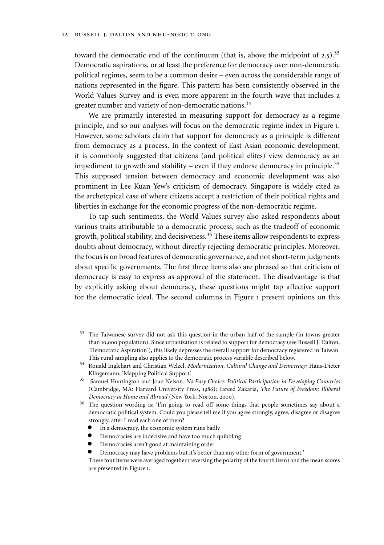#### 12 russell j. dalton and nhu-ngoc t. ong

toward the democratic end of the continuum (that is, above the midpoint of  $2.5$ ).<sup>33</sup> Democratic aspirations, or at least the preference for democracy over non-democratic political regimes, seem to be a common desire – even across the considerable range of nations represented in the figure. This pattern has been consistently observed in the World Values Survey and is even more apparent in the fourth wave that includes a greater number and variety of non-democratic nations.<sup>34</sup>

We are primarily interested in measuring support for democracy as a regime principle, and so our analyses will focus on the democratic regime index in Figure 1. However, some scholars claim that support for democracy as a principle is different from democracy as a process. In the context of East Asian economic development, it is commonly suggested that citizens (and political elites) view democracy as an impediment to growth and stability – even if they endorse democracy in principle.<sup>35</sup> This supposed tension between democracy and economic development was also prominent in Lee Kuan Yew's criticism of democracy. Singapore is widely cited as the archetypical case of where citizens accept a restriction of their political rights and liberties in exchange for the economic progress of the non-democratic regime.

To tap such sentiments, the World Values survey also asked respondents about various traits attributable to a democratic process, such as the tradeoff of economic growth, political stability, and decisiveness.<sup>36</sup> These items allow respondents to express doubts about democracy, without directly rejecting democratic principles. Moreover, the focus is on broad features of democratic governance, and not short-term judgments about specific governments. The first three items also are phrased so that criticism of democracy is easy to express as approval of the statement. The disadvantage is that by explicitly asking about democracy, these questions might tap affective support for the democratic ideal. The second columns in Figure 1 present opinions on this

- <sup>33</sup> The Taiwanese survey did not ask this question in the urban half of the sample (in towns greater than 10,000 population). Since urbanization is related to support for democracy (see Russell J. Dalton, 'Democratic Aspiration'), this likely depresses the overall support for democracy registered in Taiwan. This rural sampling also applies to the democratic process variable described below.
- <sup>34</sup> Ronald Inglehart and Christian Welzel, *Modernization, Cultural Change and Democracy*; Hans-Dieter Klingemann, 'Mapping Political Support'.
- <sup>35</sup> Samuel Huntington and Joan Nelson. *No Easy Choice: Political Participation in Developing Countries* (Cambridge, MA: Harvard University Press, 1986); Fareed Zakaria, *The Future of Freedom: Illiberal Democracy at Home and Abroad* (New York: Norton, 2000).

<sup>36</sup> The question wording is: 'I'm going to read off some things that people sometimes say about a democratic political system. Could you please tell me if you agree strongly, agree, disagree or disagree strongly, after I read each one of them?

- In a democracy, the economic system runs badly
- Democracies are indecisive and have too much quibbling
- Democracies aren't good at maintaining order
- Democracy may have problems but it's better than any other form of government.'

These four items were averaged together (reversing the polarity of the fourth item) and the mean scores are presented in Figure 1.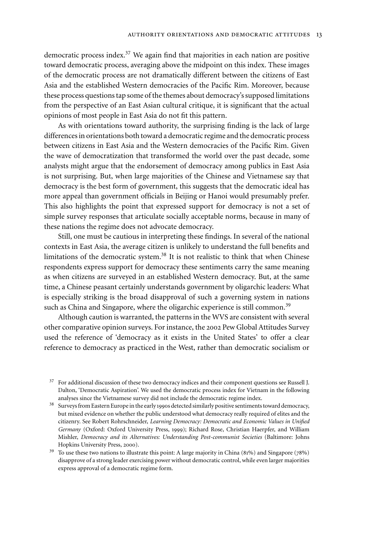democratic process index.37 We again find that majorities in each nation are positive toward democratic process, averaging above the midpoint on this index. These images of the democratic process are not dramatically different between the citizens of East Asia and the established Western democracies of the Pacific Rim. Moreover, because these process questions tap some of the themes about democracy's supposed limitations from the perspective of an East Asian cultural critique, it is significant that the actual opinions of most people in East Asia do not fit this pattern.

As with orientations toward authority, the surprising finding is the lack of large differences in orientations both toward a democratic regime and the democratic process between citizens in East Asia and the Western democracies of the Pacific Rim. Given the wave of democratization that transformed the world over the past decade, some analysts might argue that the endorsement of democracy among publics in East Asia is not surprising. But, when large majorities of the Chinese and Vietnamese say that democracy is the best form of government, this suggests that the democratic ideal has more appeal than government officials in Beijing or Hanoi would presumably prefer. This also highlights the point that expressed support for democracy is not a set of simple survey responses that articulate socially acceptable norms, because in many of these nations the regime does not advocate democracy.

Still, one must be cautious in interpreting these findings. In several of the national contexts in East Asia, the average citizen is unlikely to understand the full benefits and limitations of the democratic system.<sup>38</sup> It is not realistic to think that when Chinese respondents express support for democracy these sentiments carry the same meaning as when citizens are surveyed in an established Western democracy. But, at the same time, a Chinese peasant certainly understands government by oligarchic leaders: What is especially striking is the broad disapproval of such a governing system in nations such as China and Singapore, where the oligarchic experience is still common.<sup>39</sup>

Although caution is warranted, the patterns in the WVS are consistent with several other comparative opinion surveys. For instance, the 2002 Pew Global Attitudes Survey used the reference of 'democracy as it exists in the United States' to offer a clear reference to democracy as practiced in the West, rather than democratic socialism or

<sup>&</sup>lt;sup>37</sup> For additional discussion of these two democracy indices and their component questions see Russell J. Dalton, 'Democratic Aspiration'. We used the democratic process index for Vietnam in the following analyses since the Vietnamese survey did not include the democratic regime index.

 $^\mathrm{38}$  Surveys from Eastern Europe in the early 1990s detected similarly positive sentiments toward democracy, but mixed evidence on whether the public understood what democracy really required of elites and the citizenry. See Robert Rohrschneider, *Learning Democracy: Democratic and Economic Values in Unified Germany* (Oxford: Oxford University Press, 1999); Richard Rose, Christian Haerpfer, and William Mishler, *Democracy and its Alternatives: Understanding Post-communist Societies* (Baltimore: Johns Hopkins University Press, 2000).

<sup>&</sup>lt;sup>39</sup> To use these two nations to illustrate this point: A large majority in China (81%) and Singapore (78%) disapprove of a strong leader exercising power without democratic control, while even larger majorities express approval of a democratic regime form.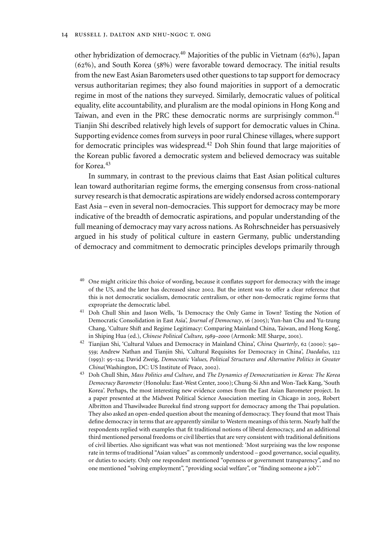#### 14 russell j. dalton and nhu-ngoc t. ong

other hybridization of democracy.40 Majorities of the public in Vietnam (62%), Japan (62%), and South Korea (58%) were favorable toward democracy. The initial results from the new East Asian Barometers used other questions to tap support for democracy versus authoritarian regimes; they also found majorities in support of a democratic regime in most of the nations they surveyed. Similarly, democratic values of political equality, elite accountability, and pluralism are the modal opinions in Hong Kong and Taiwan, and even in the PRC these democratic norms are surprisingly common.<sup>41</sup> Tianjin Shi described relatively high levels of support for democratic values in China. Supporting evidence comes from surveys in poor rural Chinese villages, where support for democratic principles was widespread.<sup>42</sup> Doh Shin found that large majorities of the Korean public favored a democratic system and believed democracy was suitable for Korea.<sup>43</sup>

In summary, in contrast to the previous claims that East Asian political cultures lean toward authoritarian regime forms, the emerging consensus from cross-national survey research is that democratic aspirations are widely endorsed across contemporary East Asia – even in several non-democracies. This support for democracy may be more indicative of the breadth of democratic aspirations, and popular understanding of the full meaning of democracy may vary across nations. As Rohrschneider has persuasively argued in his study of political culture in eastern Germany, public understanding of democracy and commitment to democratic principles develops primarily through

- <sup>41</sup> Doh Chull Shin and Jason Wells, 'Is Democracy the Only Game in Town? Testing the Notion of Democratic Consolidation in East Asia', *Journal of Democracy*, 16 (2005); Yun-han Chu and Yu-tzung Chang, 'Culture Shift and Regime Legitimacy: Comparing Mainland China, Taiwan, and Hong Kong', in Shiping Hua (ed.), *Chinese Political Culture, 1989–2000* (Armonk: ME Sharpe, 2001).
- <sup>42</sup> Tianjian Shi, 'Cultural Values and Democracy in Mainland China', *China Quarterly*, 62 (2000): 540– 559; Andrew Nathan and Tianjin Shi, 'Cultural Requisites for Democracy in China', *Daedalus*, 122 (1993): 95–124; David Zweig, *Democratic Values, Political Structures and Alternative Politics in Greater China*(Washington, DC: US Institute of Peace, 2002).
- <sup>43</sup> Doh Chull Shin, *Mass Politics and Culture*, and *The Dynamics of Democratization in Korea: The Korea Democracy Barometer* (Honolulu: East-West Center, 2000); Chung-Si Ahn and Won-Taek Kang, 'South Korea'. Perhaps, the most interesting new evidence comes from the East Asian Barometer project. In a paper presented at the Midwest Political Science Association meeting in Chicago in 2003, Robert Albritton and Thawilwadee Bureekul find strong support for democracy among the Thai population. They also asked an open-ended question about the meaning of democracy. They found that most Thais define democracy in terms that are apparently similar to Western meanings of this term. Nearly half the respondents replied with examples that fit traditional notions of liberal democracy, and an additional third mentioned personal freedoms or civil liberties that are very consistent with traditional definitions of civil liberties. Also significant was what was not mentioned: 'Most surprising was the low response rate in terms of traditional "Asian values" as commonly understood – good governance, social equality, or duties to society. Only one respondent mentioned "openness or government transparency", and no one mentioned "solving employment", "providing social welfare", or "finding someone a job".'

One might criticize this choice of wording, because it conflates support for democracy with the image of the US, and the later has decreased since 2002. But the intent was to offer a clear reference that this is not democratic socialism, democratic centralism, or other non-democratic regime forms that expropriate the democratic label.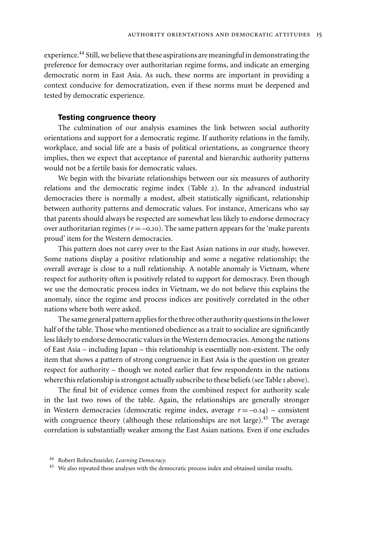experience.<sup>44</sup> Still, we believe that these aspirations are meaningful in demonstrating the preference for democracy over authoritarian regime forms, and indicate an emerging democratic norm in East Asia. As such, these norms are important in providing a context conducive for democratization, even if these norms must be deepened and tested by democratic experience.

## **Testing congruence theory**

The culmination of our analysis examines the link between social authority orientations and support for a democratic regime. If authority relations in the family, workplace, and social life are a basis of political orientations, as congruence theory implies, then we expect that acceptance of parental and hierarchic authority patterns would not be a fertile basis for democratic values.

We begin with the bivariate relationships between our six measures of authority relations and the democratic regime index (Table 2). In the advanced industrial democracies there is normally a modest, albeit statistically significant, relationship between authority patterns and democratic values. For instance, Americans who say that parents should always be respected are somewhat less likely to endorse democracy over authoritarian regimes  $(r = -0.10)$ . The same pattern appears for the 'make parents proud' item for the Western democracies.

This pattern does not carry over to the East Asian nations in our study, however. Some nations display a positive relationship and some a negative relationship; the overall average is close to a null relationship. A notable anomaly is Vietnam, where respect for authority often is positively related to support for democracy. Even though we use the democratic process index in Vietnam, we do not believe this explains the anomaly, since the regime and process indices are positively correlated in the other nations where both were asked.

The same general pattern applies for the three other authority questions in the lower half of the table. Those who mentioned obedience as a trait to socialize are significantly less likely to endorse democratic values in the Western democracies. Among the nations of East Asia – including Japan – this relationship is essentially non-existent. The only item that shows a pattern of strong congruence in East Asia is the question on greater respect for authority – though we noted earlier that few respondents in the nations where this relationship is strongest actually subscribe to these beliefs (see Table 1 above).

The final bit of evidence comes from the combined respect for authority scale in the last two rows of the table. Again, the relationships are generally stronger in Western democracies (democratic regime index, average  $r = -0.14$ ) – consistent with congruence theory (although these relationships are not large).<sup>45</sup> The average correlation is substantially weaker among the East Asian nations. Even if one excludes

<sup>44</sup> Robert Rohrschneider, *Learning Democracy.*

 $^{45}\,$  We also repeated these analyses with the democratic process index and obtained similar results.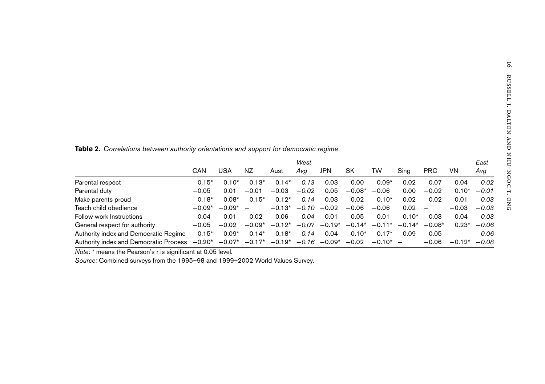| Table 2. Correlations between authority orientations and support for democratic regime |                     |                  |                               |                     |                    |                 |                  |                     |                 |                          |                 |                    |
|----------------------------------------------------------------------------------------|---------------------|------------------|-------------------------------|---------------------|--------------------|-----------------|------------------|---------------------|-----------------|--------------------------|-----------------|--------------------|
|                                                                                        |                     |                  |                               |                     | West               |                 |                  |                     |                 |                          |                 | East               |
|                                                                                        | <b>CAN</b>          | <b>USA</b>       | ΝZ                            | Aust                | Avg                | JPN             | SK               | TW                  | Sing            | <b>PRC</b>               | VN              | Avg                |
| Parental respect                                                                       | $-0.15*$            | $-0.10*$         | $-0.13*$                      | $-0.14*$            | $-0.13$            | $-0.03$         | $-0.00$          | $-0.09*$            | 0.02            | $-0.07$                  | $-0.04$         | $-0.02$            |
| Parental duty                                                                          | $-0.05$<br>$-0.18*$ | 0.01<br>$-0.08*$ | $-0.01$<br>$-0.15*$           | $-0.03$<br>$-0.12*$ | $-0.02$<br>$-0.14$ | 0.05<br>$-0.03$ | $-0.08*$<br>0.02 | $-0.06$<br>$-0.10*$ | 0.00<br>$-0.02$ | $-0.02$<br>$-0.02$       | $0.10*$<br>0.01 | $-0.01$<br>$-0.03$ |
| Make parents proud<br>Teach child obedience                                            | $-0.09*$            | $-0.09*$         | $\overline{\phantom{0}}$      | $-0.13*$            | $-0.10 - 0.02$     |                 | $-0.06$          | $-0.06$             | 0.02            | $\overline{\phantom{0}}$ | $-0.03$         | $-0.03$            |
| Follow work Instructions                                                               | $-0.04$             | 0.01             | $-0.02$                       | $-0.06$             | $-0.04$            | $-0.01$         | $-0.05$          | 0.01                | $-0.10*$        | $-0.03$                  | 0.04            | $-0.03$            |
| General respect for authority                                                          | $-0.05$             | $-0.02$          | $-0.09*$                      | $-0.12*$            | $-0.07$            | $-0.19*$        | $-0.14*$         | $-0.11*$            | $-0.14*$        | $-0.08*$                 | $0.23*$         | $-0.06$            |
| Authority index and Democratic Regime                                                  | $-0.15*$            |                  | $-0.09^*$ $-0.14^*$ $-0.18^*$ |                     | $-0.14$            | $-0.04$         | $-0.10*$         | $-0.17*$            | $-0.09$         | $-0.05$                  |                 | $-0.06$            |

*Note*: \* means the Pearson's <sup>r</sup> is significant at 0.05 level.

*Source:* Combined surveys from the 1995–98 and 1999–2002 World Values Survey.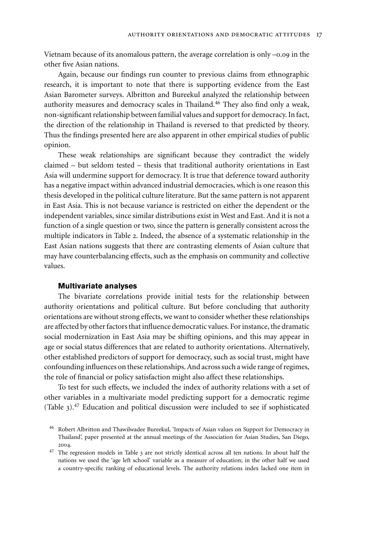Vietnam because of its anomalous pattern, the average correlation is only –0.09 in the other five Asian nations.

Again, because our findings run counter to previous claims from ethnographic research, it is important to note that there is supporting evidence from the East Asian Barometer surveys. Albritton and Bureekul analyzed the relationship between authority measures and democracy scales in Thailand.<sup>46</sup> They also find only a weak, non-significant relationship between familial values and support for democracy. In fact, the direction of the relationship in Thailand is reversed to that predicted by theory. Thus the findings presented here are also apparent in other empirical studies of public opinion.

These weak relationships are significant because they contradict the widely claimed – but seldom tested – thesis that traditional authority orientations in East Asia will undermine support for democracy. It is true that deference toward authority has a negative impact within advanced industrial democracies, which is one reason this thesis developed in the political culture literature. But the same pattern is not apparent in East Asia. This is not because variance is restricted on either the dependent or the independent variables, since similar distributions exist in West and East. And it is not a function of a single question or two, since the pattern is generally consistent across the multiple indicators in Table 2. Indeed, the absence of a systematic relationship in the East Asian nations suggests that there are contrasting elements of Asian culture that may have counterbalancing effects, such as the emphasis on community and collective values.

## **Multivariate analyses**

The bivariate correlations provide initial tests for the relationship between authority orientations and political culture. But before concluding that authority orientations are without strong effects, we want to consider whether these relationships are affected by other factors that influence democratic values. For instance, the dramatic social modernization in East Asia may be shifting opinions, and this may appear in age or social status differences that are related to authority orientations. Alternatively, other established predictors of support for democracy, such as social trust, might have confounding influences on these relationships. And across such a wide range of regimes, the role of financial or policy satisfaction might also affect these relationships.

To test for such effects, we included the index of authority relations with a set of other variables in a multivariate model predicting support for a democratic regime (Table  $3$ ).<sup>47</sup> Education and political discussion were included to see if sophisticated

<sup>46</sup> Robert Albritton and Thawilwadee Bureekul, 'Impacts of Asian values on Support for Democracy in Thailand', paper presented at the annual meetings of the Association for Asian Studies, San Diego, 2004.

<sup>47</sup> The regression models in Table 3 are not strictly identical across all ten nations. In about half the nations we used the 'age left school' variable as a measure of education; in the other half we used a country-specific ranking of educational levels. The authority relations index lacked one item in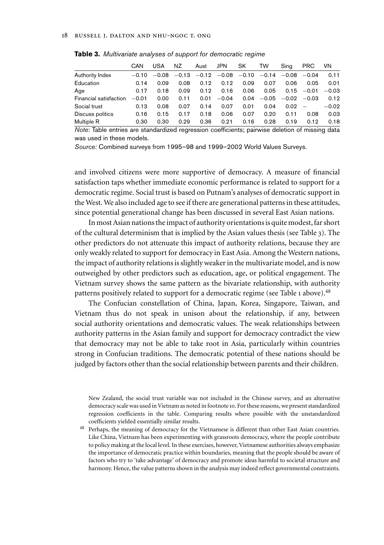|                        | CAN     | USA     | NZ      | Aust    | JPN     | SK      | TW      | Sing    | <b>PRC</b>               | VN      |
|------------------------|---------|---------|---------|---------|---------|---------|---------|---------|--------------------------|---------|
| Authority Index        | $-0.10$ | $-0.08$ | $-0.13$ | $-0.12$ | $-0.08$ | $-0.10$ | $-0.14$ | $-0.08$ | $-0.04$                  | 0.11    |
| Education              | 0.14    | 0.09    | 0.08    | 0.12    | 0.12    | 0.09    | 0.07    | 0.06    | 0.05                     | 0.01    |
| Age                    | 0.17    | 0.18    | 0.09    | 0.12    | 0.16    | 0.06    | 0.05    | 0.15    | $-0.01$                  | $-0.03$ |
| Financial satisfaction | $-0.01$ | 0.00    | 0.11    | 0.01    | $-0.04$ | 0.04    | $-0.05$ | $-0.02$ | $-0.03$                  | 0.12    |
| Social trust           | 0.13    | 0.08    | 0.07    | 0.14    | 0.07    | 0.01    | 0.04    | 0.02    | $\overline{\phantom{a}}$ | $-0.02$ |
| Discuss politics       | 0.16    | 0.15    | 0.17    | 0.18    | 0.06    | 0.07    | 0.20    | 0.11    | 0.08                     | 0.03    |
| Multiple R             | 0.30    | 0.30    | 0.29    | 0.36    | 0.21    | 0.16    | 0.28    | 0.19    | 0.12                     | 0.18    |
| $\cdots$               |         | .       |         |         | .       |         | .       |         |                          |         |

|  | Table 3. Multivariate analyses of support for democratic regime |  |  |  |  |  |
|--|-----------------------------------------------------------------|--|--|--|--|--|
|--|-----------------------------------------------------------------|--|--|--|--|--|

*Note*: Table entries are standardized regression coefficients; pairwise deletion of missing data was used in these models.

*Source:* Combined surveys from 1995–98 and 1999–2002 World Values Surveys.

and involved citizens were more supportive of democracy. A measure of financial satisfaction taps whether immediate economic performance is related to support for a democratic regime. Social trust is based on Putnam's analyses of democratic support in the West. We also included age to see if there are generational patterns in these attitudes, since potential generational change has been discussed in several East Asian nations.

In most Asian nations the impact of authority orientations is quite modest, far short of the cultural determinism that is implied by the Asian values thesis (see Table 3). The other predictors do not attenuate this impact of authority relations, because they are only weakly related to support for democracy in East Asia. Among the Western nations, the impact of authority relations is slightly weaker in the multivariate model, and is now outweighed by other predictors such as education, age, or political engagement. The Vietnam survey shows the same pattern as the bivariate relationship, with authority patterns positively related to support for a democratic regime (see Table 1 above).<sup>48</sup>

The Confucian constellation of China, Japan, Korea, Singapore, Taiwan, and Vietnam thus do not speak in unison about the relationship, if any, between social authority orientations and democratic values. The weak relationships between authority patterns in the Asian family and support for democracy contradict the view that democracy may not be able to take root in Asia, particularly within countries strong in Confucian traditions. The democratic potential of these nations should be judged by factors other than the social relationship between parents and their children.

New Zealand, the social trust variable was not included in the Chinese survey, and an alternative democracy scale was used in Vietnam as noted in footnote 10. For these reasons, we present standardized regression coefficients in the table. Comparing results where possible with the unstandardized coefficients yielded essentially similar results.

<sup>48</sup> Perhaps, the meaning of democracy for the Vietnamese is different than other East Asian countries. Like China, Vietnam has been experimenting with grassroots democracy, where the people contribute to policy making at the local level. In these exercises, however, Vietnamese authorities always emphasize the importance of democratic practice within boundaries, meaning that the people should be aware of factors who try to 'take advantage' of democracy and promote ideas harmful to societal structure and harmony. Hence, the value patterns shown in the analysis may indeed reflect governmental constraints.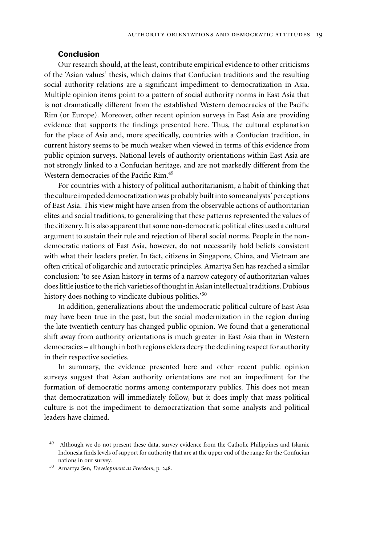## **Conclusion**

Our research should, at the least, contribute empirical evidence to other criticisms of the 'Asian values' thesis, which claims that Confucian traditions and the resulting social authority relations are a significant impediment to democratization in Asia. Multiple opinion items point to a pattern of social authority norms in East Asia that is not dramatically different from the established Western democracies of the Pacific Rim (or Europe). Moreover, other recent opinion surveys in East Asia are providing evidence that supports the findings presented here. Thus, the cultural explanation for the place of Asia and, more specifically, countries with a Confucian tradition, in current history seems to be much weaker when viewed in terms of this evidence from public opinion surveys. National levels of authority orientations within East Asia are not strongly linked to a Confucian heritage, and are not markedly different from the Western democracies of the Pacific Rim.<sup>49</sup>

For countries with a history of political authoritarianism, a habit of thinking that the culture impeded democratization was probably built into some analysts' perceptions of East Asia. This view might have arisen from the observable actions of authoritarian elites and social traditions, to generalizing that these patterns represented the values of the citizenry. It is also apparent that some non-democratic political elites used a cultural argument to sustain their rule and rejection of liberal social norms. People in the nondemocratic nations of East Asia, however, do not necessarily hold beliefs consistent with what their leaders prefer. In fact, citizens in Singapore, China, and Vietnam are often critical of oligarchic and autocratic principles. Amartya Sen has reached a similar conclusion: 'to see Asian history in terms of a narrow category of authoritarian values does little justice to the rich varieties of thought in Asian intellectual traditions. Dubious history does nothing to vindicate dubious politics.<sup>50</sup>

In addition, generalizations about the undemocratic political culture of East Asia may have been true in the past, but the social modernization in the region during the late twentieth century has changed public opinion. We found that a generational shift away from authority orientations is much greater in East Asia than in Western democracies – although in both regions elders decry the declining respect for authority in their respective societies.

In summary, the evidence presented here and other recent public opinion surveys suggest that Asian authority orientations are not an impediment for the formation of democratic norms among contemporary publics. This does not mean that democratization will immediately follow, but it does imply that mass political culture is not the impediment to democratization that some analysts and political leaders have claimed.

Although we do not present these data, survey evidence from the Catholic Philippines and Islamic Indonesia finds levels of support for authority that are at the upper end of the range for the Confucian nations in our survey.

<sup>50</sup> Amartya Sen, *Development as Freedom*, p. 248.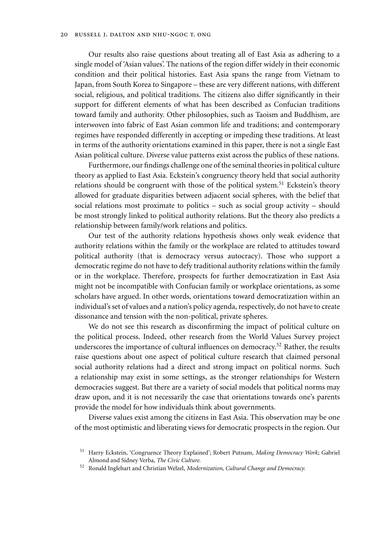Our results also raise questions about treating all of East Asia as adhering to a single model of 'Asian values'. The nations of the region differ widely in their economic condition and their political histories. East Asia spans the range from Vietnam to Japan, from South Korea to Singapore – these are very different nations, with different social, religious, and political traditions. The citizens also differ significantly in their support for different elements of what has been described as Confucian traditions toward family and authority. Other philosophies, such as Taoism and Buddhism, are interwoven into fabric of East Asian common life and traditions; and contemporary regimes have responded differently in accepting or impeding these traditions. At least in terms of the authority orientations examined in this paper, there is not a single East Asian political culture. Diverse value patterns exist across the publics of these nations.

Furthermore, our findings challenge one of the seminal theories in political culture theory as applied to East Asia. Eckstein's congruency theory held that social authority relations should be congruent with those of the political system.<sup>51</sup> Eckstein's theory allowed for graduate disparities between adjacent social spheres, with the belief that social relations most proximate to politics – such as social group activity – should be most strongly linked to political authority relations. But the theory also predicts a relationship between family/work relations and politics.

Our test of the authority relations hypothesis shows only weak evidence that authority relations within the family or the workplace are related to attitudes toward political authority (that is democracy versus autocracy). Those who support a democratic regime do not have to defy traditional authority relations within the family or in the workplace. Therefore, prospects for further democratization in East Asia might not be incompatible with Confucian family or workplace orientations, as some scholars have argued. In other words, orientations toward democratization within an individual's set of values and a nation's policy agenda, respectively, do not have to create dissonance and tension with the non-political, private spheres.

We do not see this research as disconfirming the impact of political culture on the political process. Indeed, other research from the World Values Survey project underscores the importance of cultural influences on democracy.<sup>52</sup> Rather, the results raise questions about one aspect of political culture research that claimed personal social authority relations had a direct and strong impact on political norms. Such a relationship may exist in some settings, as the stronger relationships for Western democracies suggest. But there are a variety of social models that political norms may draw upon, and it is not necessarily the case that orientations towards one's parents provide the model for how individuals think about governments.

Diverse values exist among the citizens in East Asia. This observation may be one of the most optimistic and liberating views for democratic prospects in the region. Our

<sup>51</sup> Harry Eckstein, 'Congruence Theory Explained'; Robert Putnam, *Making Democracy Work*; Gabriel Almond and Sidney Verba, *The Civic Culture.*

<sup>52</sup> Ronald Inglehart and Christian Welzel, *Modernization, Cultural Change and Democracy.*